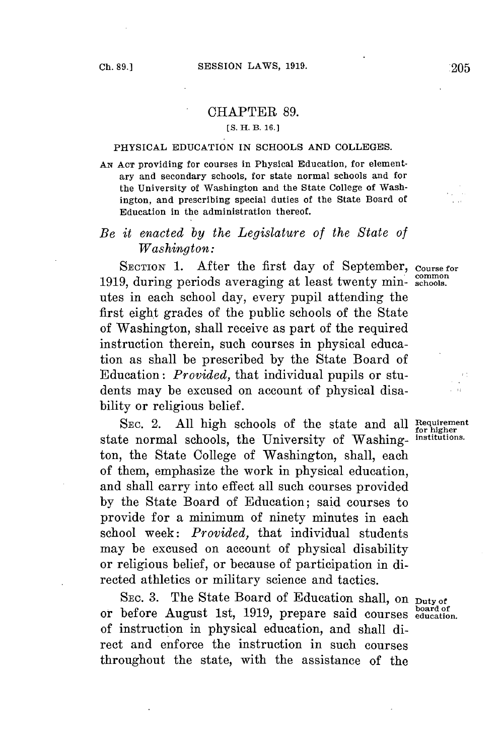## CHAPTER **89.**

## **[S. H. B. 16.]**

## PHYSICAL **EDUCATION** IN **SCHOOLS AND COLLEGES.**

**AN ACT** providing for courses in Physical Education, for elementary and secondary schools, for state normal schools and for the University of Washington and the State College of Washington, and prescribing special duties of the State Board of Education in the administration thereof.

## *Be it enacted by the Legislature of the State of Washington:*

SECTION **1.** After the first day of September, **Course for** 'common **1919,** during periods averaging at least twenty min- **schools.** utes in each school day, every pupil attending the first eight grades of the public schools of the State of Washington, shall receive as part of the required instruction therein, such courses in physical education as shall be prescribed **by** the State Board of Education: *Provided,* that individual pupils or students may be excused on account of physical disability or religious belief.

SEC. 2. All high schools of the state and all Requirement for higher the Initial Contract of Washing institutions. state normal schools, the University of Washington, the State College of Washington, shall, each of them, emphasize the work in physical education, and shall carry into effect all such courses provided **by** the State Board of Education; said courses to provide for a minimum of ninety minutes in each school week: *Provided,* that individual students may be excused on account of physical disability or religious belief, or because of participation in directed athletics or military science and tactics.

SEC. 3. The State Board of Education shall, on Duty of **board of** or before August 1st, **1919,** prepare said courses **education.** of instruction in physical education, and shall direct and enforce the instruction in such courses throughout the state, with the assistance of the